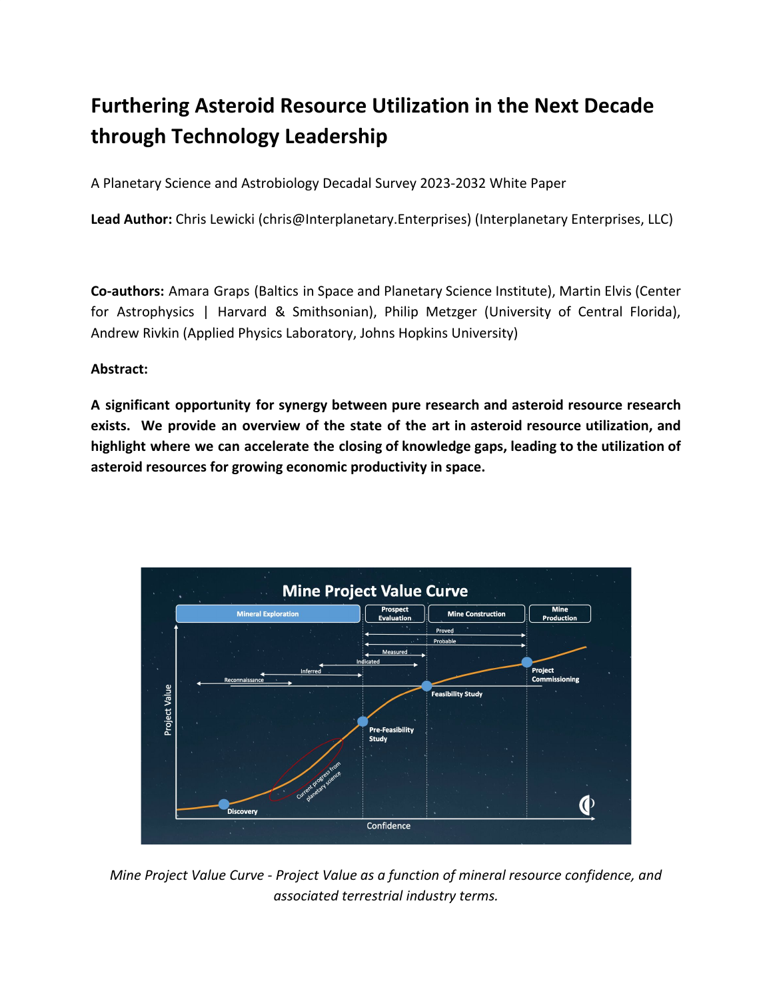# **Furthering Asteroid Resource Utilization in the Next Decade through Technology Leadership**

A Planetary Science and Astrobiology Decadal Survey 2023-2032 White Paper

**Lead Author:** Chris Lewicki (chris@Interplanetary.Enterprises) (Interplanetary Enterprises, LLC)

**Co-authors:** Amara Graps (Baltics in Space and Planetary Science Institute), Martin Elvis (Center for Astrophysics | Harvard & Smithsonian), Philip Metzger (University of Central Florida), Andrew Rivkin (Applied Physics Laboratory, Johns Hopkins University)

## **Abstract:**

**A significant opportunity for synergy between pure research and asteroid resource research exists. We provide an overview of the state of the art in asteroid resource utilization, and highlight where we can accelerate the closing of knowledge gaps, leading to the utilization of asteroid resources for growing economic productivity in space.**



*Mine Project Value Curve - Project Value as a function of mineral resource confidence, and associated terrestrial industry terms.*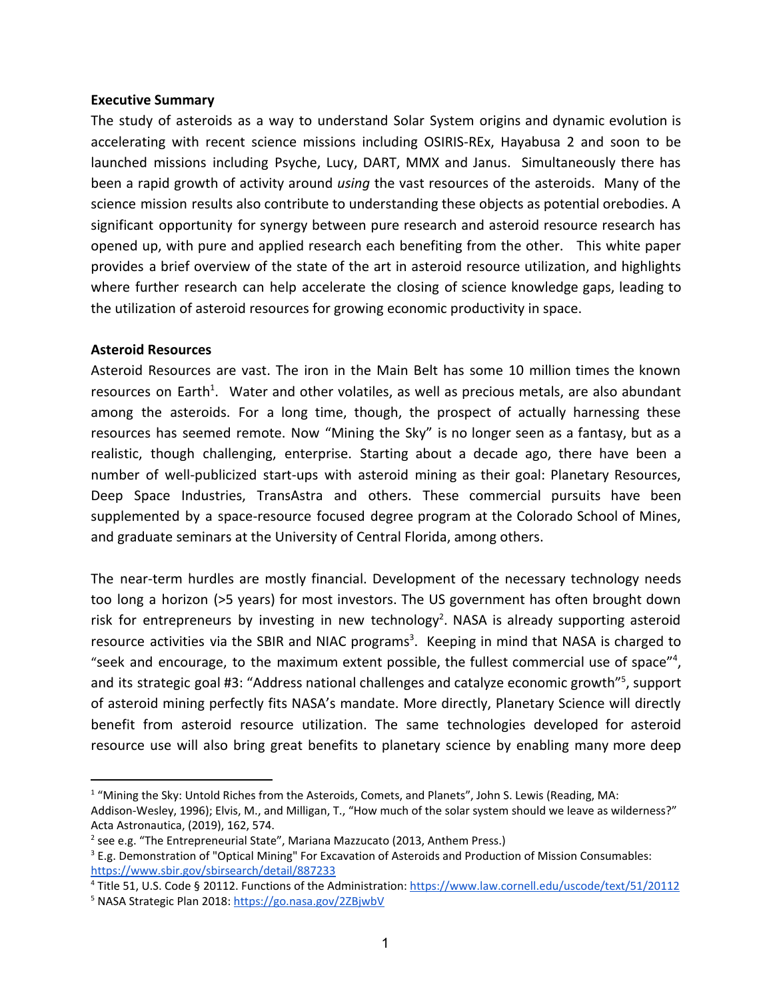#### **Executive Summary**

The study of asteroids as a way to understand Solar System origins and dynamic evolution is accelerating with recent science missions including OSIRIS-REx, Hayabusa 2 and soon to be launched missions including Psyche, Lucy, DART, MMX and Janus. Simultaneously there has been a rapid growth of activity around *using* the vast resources of the asteroids. Many of the science mission results also contribute to understanding these objects as potential orebodies. A significant opportunity for synergy between pure research and asteroid resource research has opened up, with pure and applied research each benefiting from the other. This white paper provides a brief overview of the state of the art in asteroid resource utilization, and highlights where further research can help accelerate the closing of science knowledge gaps, leading to the utilization of asteroid resources for growing economic productivity in space.

### **Asteroid Resources**

Asteroid Resources are vast. The iron in the Main Belt has some 10 million times the known resources on Earth<sup>1</sup>. Water and other volatiles, as well as precious metals, are also abundant among the asteroids. For a long time, though, the prospect of actually harnessing these resources has seemed remote. Now "Mining the Sky" is no longer seen as a fantasy, but as a realistic, though challenging, enterprise. Starting about a decade ago, there have been a number of well-publicized start-ups with asteroid mining as their goal: Planetary Resources, Deep Space Industries, TransAstra and others. These commercial pursuits have been supplemented by a space-resource focused degree program at the Colorado School of Mines, and graduate seminars at the University of Central Florida, among others.

The near-term hurdles are mostly financial. Development of the necessary technology needs too long a horizon (>5 years) for most investors. The US government has often brought down risk for entrepreneurs by investing in new technology<sup>2</sup>. NASA is already supporting asteroid resource activities via the SBIR and NIAC programs<sup>3</sup>. Keeping in mind that NASA is charged to "seek and encourage, to the maximum extent possible, the fullest commercial use of space"<sup>4</sup>, and its strategic goal #3: "Address national challenges and catalyze economic growth"<sup>5</sup>, support of asteroid mining perfectly fits NASA's mandate. More directly, Planetary Science will directly benefit from asteroid resource utilization. The same technologies developed for asteroid resource use will also bring great benefits to planetary science by enabling many more deep

<sup>&</sup>lt;sup>1</sup> "Mining the Sky: Untold Riches from the Asteroids, Comets, and Planets", John S. Lewis (Reading, MA:

Addison-Wesley, 1996); Elvis, M., and Milligan, T., "How much of the solar system should we leave as wilderness?" Acta Astronautica, (2019), 162, 574.

<sup>&</sup>lt;sup>2</sup> see e.g. "The Entrepreneurial State", Mariana Mazzucato (2013, Anthem Press.)

<sup>&</sup>lt;sup>3</sup> E.g. Demonstration of "Optical Mining" For Excavation of Asteroids and Production of Mission Consumables: <https://www.sbir.gov/sbirsearch/detail/887233>

<sup>4</sup> Title 51, U.S. Code § 20112. Functions of the Administration: <https://www.law.cornell.edu/uscode/text/51/20112>

<sup>&</sup>lt;sup>5</sup> NASA Strategic Plan 2018: <https://go.nasa.gov/2ZBjwbV>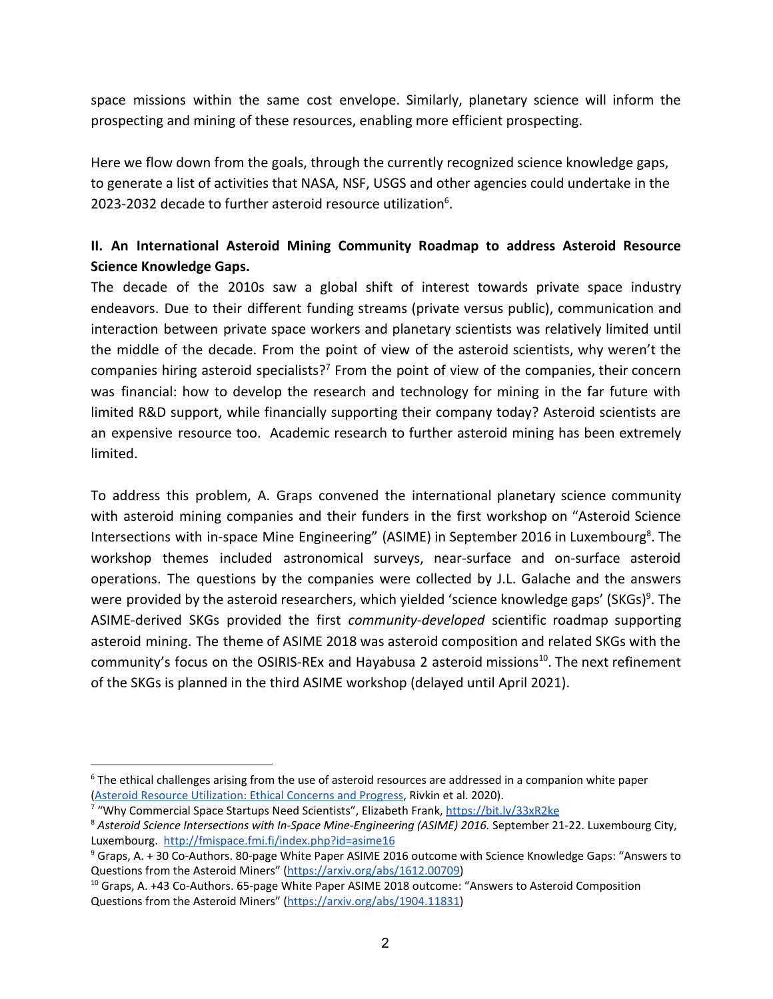space missions within the same cost envelope. Similarly, planetary science will inform the prospecting and mining of these resources, enabling more efficient prospecting.

Here we flow down from the goals, through the currently recognized science knowledge gaps, to generate a list of activities that NASA, NSF, USGS and other agencies could undertake in the 2023-2032 decade to further asteroid resource utilization $6$ .

# **II. An International Asteroid Mining Community Roadmap to address Asteroid Resource Science Knowledge Gaps.**

The decade of the 2010s saw a global shift of interest towards private space industry endeavors. Due to their different funding streams (private versus public), communication and interaction between private space workers and planetary scientists was relatively limited until the middle of the decade. From the point of view of the asteroid scientists, why weren't the companies hiring asteroid specialists?<sup>7</sup> From the point of view of the companies, their concern was financial: how to develop the research and technology for mining in the far future with limited R&D support, while financially supporting their company today? Asteroid scientists are an expensive resource too. Academic research to further asteroid mining has been extremely limited.

To address this problem, A. Graps convened the international planetary science community with asteroid mining companies and their funders in the first workshop on "Asteroid Science Intersections with in-space Mine Engineering" (ASIME) in September 2016 in Luxembourg<sup>8</sup>. The workshop themes included astronomical surveys, near-surface and on-surface asteroid operations. The questions by the companies were collected by J.L. Galache and the answers were provided by the asteroid researchers, which yielded 'science knowledge gaps' (SKGs)<sup>9</sup>. The ASIME-derived SKGs provided the first *community-developed* scientific roadmap supporting asteroid mining. The theme of ASIME 2018 was asteroid composition and related SKGs with the community's focus on the OSIRIS-REx and Hayabusa 2 asteroid missions<sup>10</sup>. The next refinement of the SKGs is planned in the third ASIME workshop (delayed until April 2021).

<sup>&</sup>lt;sup>6</sup> The ethical challenges arising from the use of asteroid resources are addressed in a companion white paper (Asteroid Resource [Utilization:](https://arxiv.org/abs/2011.03369) Ethical Concerns and Progress, Rivkin et al. 2020).

<sup>&</sup>lt;sup>7</sup> "Why Commercial Space Startups Need Scientists", Elizabeth Frank, <https://bit.ly/33xR2ke>

<sup>8</sup> *Asteroid Science Intersections with In-Space Mine-Engineering (ASIME) 2016.* September 21-22. Luxembourg City, Luxembourg. <http://fmispace.fmi.fi/index.php?id=asime16>

<sup>9</sup> Graps, A. + 30 Co-Authors. 80-page White Paper ASIME 2016 outcome with Science Knowledge Gaps: "Answers to Questions from the Asteroid Miners" [\(https://arxiv.org/abs/1612.00709](https://arxiv.org/abs/1612.00709))

<sup>&</sup>lt;sup>10</sup> Graps, A. +43 Co-Authors. 65-page White Paper ASIME 2018 outcome: "Answers to Asteroid Composition Questions from the Asteroid Miners" [\(https://arxiv.org/abs/1904.11831](https://arxiv.org/abs/1904.11831))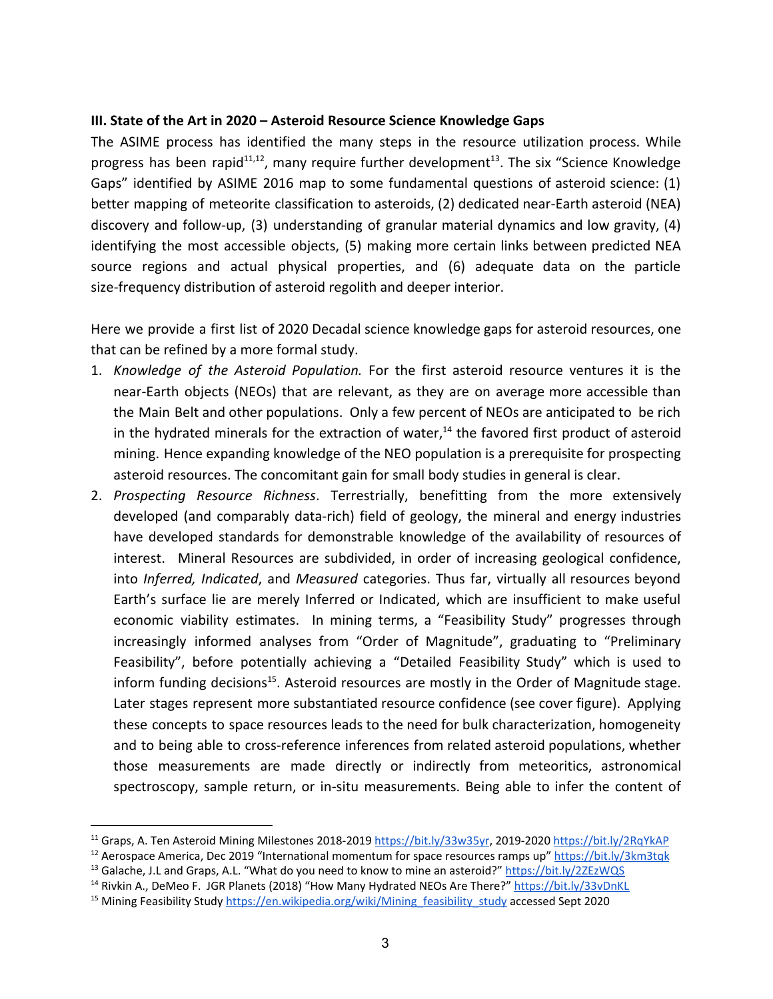### **III. State of the Art in 2020 – Asteroid Resource Science Knowledge Gaps**

The ASIME process has identified the many steps in the resource utilization process. While progress has been rapid<sup>11,12</sup>, many require further development<sup>13</sup>. The six "Science Knowledge Gaps" identified by ASIME 2016 map to some fundamental questions of asteroid science: (1) better mapping of meteorite classification to asteroids, (2) dedicated near-Earth asteroid (NEA) discovery and follow-up, (3) understanding of granular material dynamics and low gravity, (4) identifying the most accessible objects, (5) making more certain links between predicted NEA source regions and actual physical properties, and (6) adequate data on the particle size-frequency distribution of asteroid regolith and deeper interior.

Here we provide a first list of 2020 Decadal science knowledge gaps for asteroid resources, one that can be refined by a more formal study.

- 1. *Knowledge of the Asteroid Population.* For the first asteroid resource ventures it is the near-Earth objects (NEOs) that are relevant, as they are on average more accessible than the Main Belt and other populations. Only a few percent of NEOs are anticipated to be rich in the hydrated minerals for the extraction of water, $14$  the favored first product of asteroid mining. Hence expanding knowledge of the NEO population is a prerequisite for prospecting asteroid resources. The concomitant gain for small body studies in general is clear.
- 2. *Prospecting Resource Richness*. Terrestrially, benefitting from the more extensively developed (and comparably data-rich) field of geology, the mineral and energy industries have developed standards for demonstrable knowledge of the availability of resources of interest. Mineral Resources are subdivided, in order of increasing geological confidence, into *Inferred, Indicated*, and *Measured* categories. Thus far, virtually all resources beyond Earth's surface lie are merely Inferred or Indicated, which are insufficient to make useful economic viability estimates. In mining terms, a "Feasibility Study" progresses through increasingly informed analyses from "Order of Magnitude", graduating to "Preliminary Feasibility", before potentially achieving a "Detailed Feasibility Study" which is used to inform funding decisions<sup>15</sup>. Asteroid resources are mostly in the Order of Magnitude stage. Later stages represent more substantiated resource confidence (see cover figure). Applying these concepts to space resources leads to the need for bulk characterization, homogeneity and to being able to cross-reference inferences from related asteroid populations, whether those measurements are made directly or indirectly from meteoritics, astronomical spectroscopy, sample return, or in-situ measurements. Being able to infer the content of

<sup>&</sup>lt;sup>11</sup> Graps, A. Ten Asteroid Mining Milestones 2018-2019 [https://bit.ly/33w35yr,](https://bit.ly/33w35yr) 2019-2020 <https://bit.ly/2RqYkAP>

<sup>&</sup>lt;sup>12</sup> Aerospace America, Dec 2019 "International momentum for space resources ramps up" <https://bit.ly/3km3tqk>

<sup>&</sup>lt;sup>13</sup> Galache, J.L and Graps, A.L. "What do you need to know to mine an asteroid?" <https://bit.ly/2ZEzWQS>

<sup>14</sup> Rivkin A., DeMeo F. JGR Planets (2018) "How Many Hydrated NEOs Are There?" <https://bit.ly/33vDnKL>

<sup>&</sup>lt;sup>15</sup> Mining Feasibility Study [https://en.wikipedia.org/wiki/Mining\\_feasibility\\_study](https://en.wikipedia.org/wiki/Mining_feasibility_study) accessed Sept 2020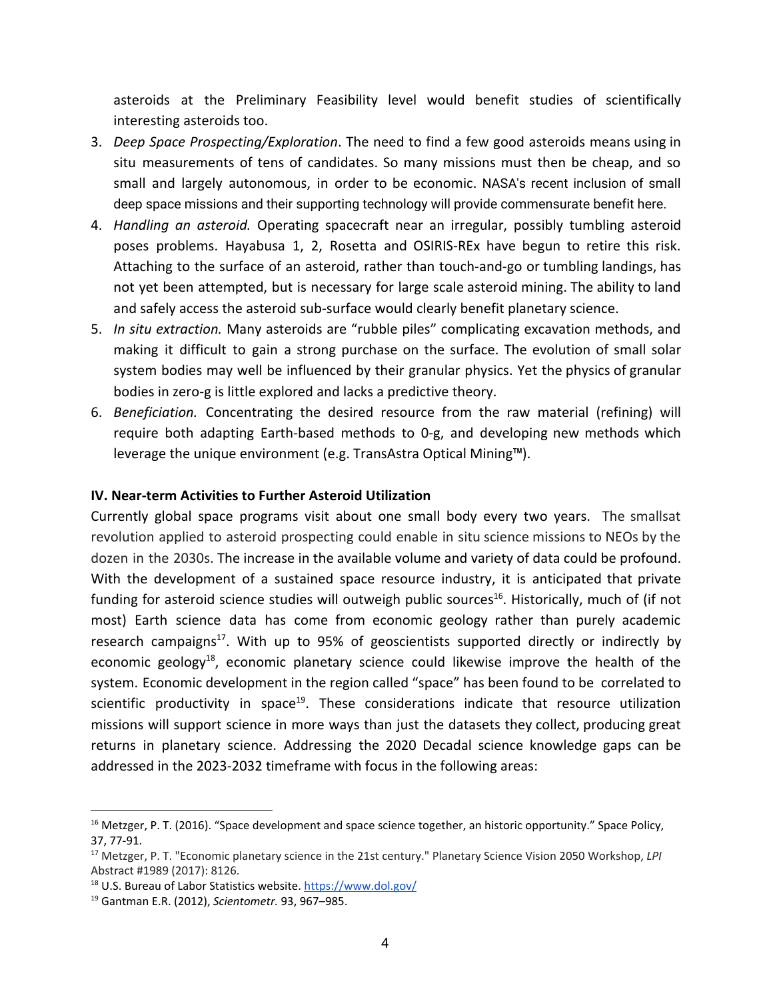asteroids at the Preliminary Feasibility level would benefit studies of scientifically interesting asteroids too.

- 3. *Deep Space Prospecting/Exploration*. The need to find a few good asteroids means using in situ measurements of tens of candidates. So many missions must then be cheap, and so small and largely autonomous, in order to be economic. NASA's recent inclusion of small deep space missions and their supporting technology will provide commensurate benefit here.
- 4. *Handling an asteroid.* Operating spacecraft near an irregular, possibly tumbling asteroid poses problems. Hayabusa 1, 2, Rosetta and OSIRIS-REx have begun to retire this risk. Attaching to the surface of an asteroid, rather than touch-and-go or tumbling landings, has not yet been attempted, but is necessary for large scale asteroid mining. The ability to land and safely access the asteroid sub-surface would clearly benefit planetary science.
- 5. *In situ extraction.* Many asteroids are "rubble piles" complicating excavation methods, and making it difficult to gain a strong purchase on the surface. The evolution of small solar system bodies may well be influenced by their granular physics. Yet the physics of granular bodies in zero-g is little explored and lacks a predictive theory.
- 6. *Beneficiation.* Concentrating the desired resource from the raw material (refining) will require both adapting Earth-based methods to 0-g, and developing new methods which leverage the unique environment (e.g. TransAstra Optical Mining™).

### **IV. Near-term Activities to Further Asteroid Utilization**

Currently global space programs visit about one small body every two years. The smallsat revolution applied to asteroid prospecting could enable in situ science missions to NEOs by the dozen in the 2030s. The increase in the available volume and variety of data could be profound. With the development of a sustained space resource industry, it is anticipated that private funding for asteroid science studies will outweigh public sources<sup>16</sup>. Historically, much of (if not most) Earth science data has come from economic geology rather than purely academic research campaigns<sup>17</sup>. With up to 95% of geoscientists supported directly or indirectly by economic geology<sup>18</sup>, economic planetary science could likewise improve the health of the system. Economic development in the region called "space" has been found to be correlated to scientific productivity in space<sup>19</sup>. These considerations indicate that resource utilization missions will support science in more ways than just the datasets they collect, producing great returns in planetary science. Addressing the 2020 Decadal science knowledge gaps can be addressed in the 2023-2032 timeframe with focus in the following areas:

<sup>&</sup>lt;sup>16</sup> Metzger, P. T. (2016). "Space development and space science together, an historic opportunity." Space Policy, 37, 77-91.

<sup>17</sup> Metzger, P. T. "Economic planetary science in the 21st century." Planetary Science Vision 2050 Workshop, *LPI* Abstract #1989 (2017): 8126.

<sup>18</sup> U.S. Bureau of Labor Statistics website. <https://www.dol.gov/>

<sup>19</sup> Gantman E.R. (2012), *Scientometr.* 93, 967–985.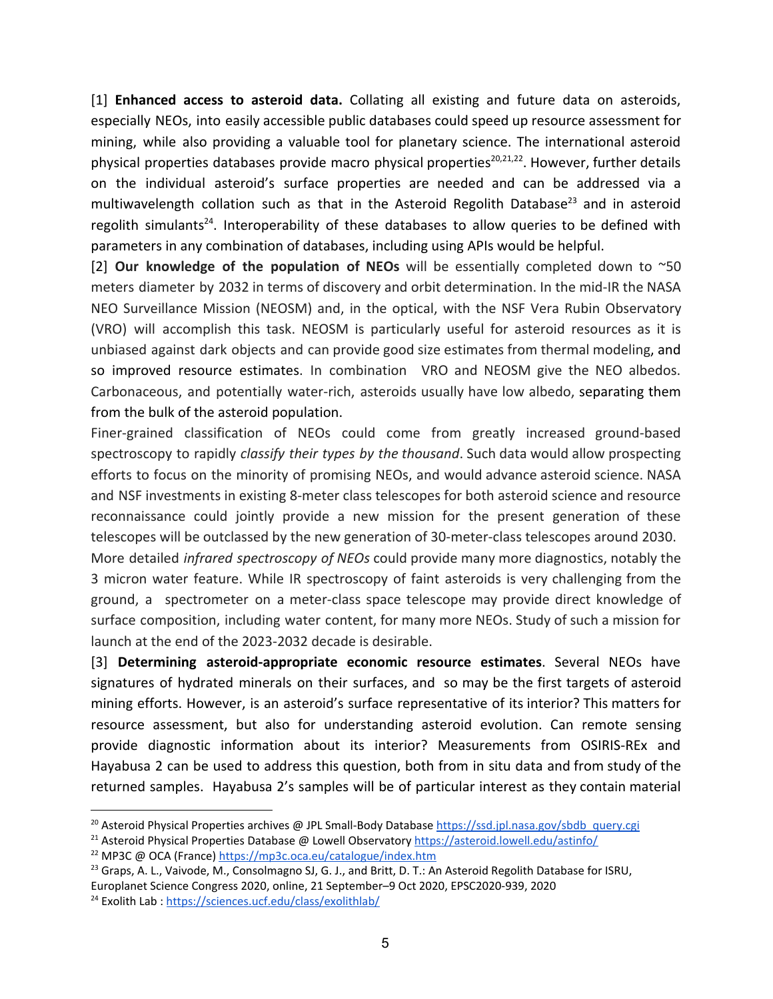[1] **Enhanced access to asteroid data.** Collating all existing and future data on asteroids, especially NEOs, into easily accessible public databases could speed up resource assessment for mining, while also providing a valuable tool for planetary science. The international asteroid physical properties databases provide macro physical properties<sup>20,21,22</sup>. However, further details on the individual asteroid's surface properties are needed and can be addressed via a multiwavelength collation such as that in the Asteroid Regolith Database<sup>23</sup> and in asteroid regolith simulants<sup>24</sup>. Interoperability of these databases to allow queries to be defined with parameters in any combination of databases, including using APIs would be helpful.

[2] **Our knowledge of the population of NEOs** will be essentially completed down to ~50 meters diameter by 2032 in terms of discovery and orbit determination. In the mid-IR the NASA NEO Surveillance Mission (NEOSM) and, in the optical, with the NSF Vera Rubin Observatory (VRO) will accomplish this task. NEOSM is particularly useful for asteroid resources as it is unbiased against dark objects and can provide good size estimates from thermal modeling, and so improved resource estimates. In combination VRO and NEOSM give the NEO albedos. Carbonaceous, and potentially water-rich, asteroids usually have low albedo, separating them from the bulk of the asteroid population.

Finer-grained classification of NEOs could come from greatly increased ground-based spectroscopy to rapidly *classify their types by the thousand*. Such data would allow prospecting efforts to focus on the minority of promising NEOs, and would advance asteroid science. NASA and NSF investments in existing 8-meter class telescopes for both asteroid science and resource reconnaissance could jointly provide a new mission for the present generation of these telescopes will be outclassed by the new generation of 30-meter-class telescopes around 2030.

More detailed *infrared spectroscopy of NEOs* could provide many more diagnostics, notably the 3 micron water feature. While IR spectroscopy of faint asteroids is very challenging from the ground, a spectrometer on a meter-class space telescope may provide direct knowledge of surface composition, including water content, for many more NEOs. Study of such a mission for launch at the end of the 2023-2032 decade is desirable.

[3] **Determining asteroid-appropriate economic resource estimates**. Several NEOs have signatures of hydrated minerals on their surfaces, and so may be the first targets of asteroid mining efforts. However, is an asteroid's surface representative of its interior? This matters for resource assessment, but also for understanding asteroid evolution. Can remote sensing provide diagnostic information about its interior? Measurements from OSIRIS-REx and Hayabusa 2 can be used to address this question, both from in situ data and from study of the returned samples. Hayabusa 2's samples will be of particular interest as they contain material

<sup>&</sup>lt;sup>20</sup> Asteroid Physical Properties archives @ JPL Small-Body Database [https://ssd.jpl.nasa.gov/sbdb\\_query.cgi](https://ssd.jpl.nasa.gov/sbdb_query.cgi)

<sup>21</sup> Asteroid Physical Properties Database @ Lowell Observatory <https://asteroid.lowell.edu/astinfo/>

<sup>22</sup> MP3C @ OCA (France) <https://mp3c.oca.eu/catalogue/index.htm>

<sup>&</sup>lt;sup>23</sup> Graps, A. L., Vaivode, M., Consolmagno SJ, G. J., and Britt, D. T.: An Asteroid Regolith Database for ISRU, Europlanet Science Congress 2020, online, 21 September–9 Oct 2020, EPSC2020-939, 2020

<sup>24</sup> Exolith Lab : <https://sciences.ucf.edu/class/exolithlab/>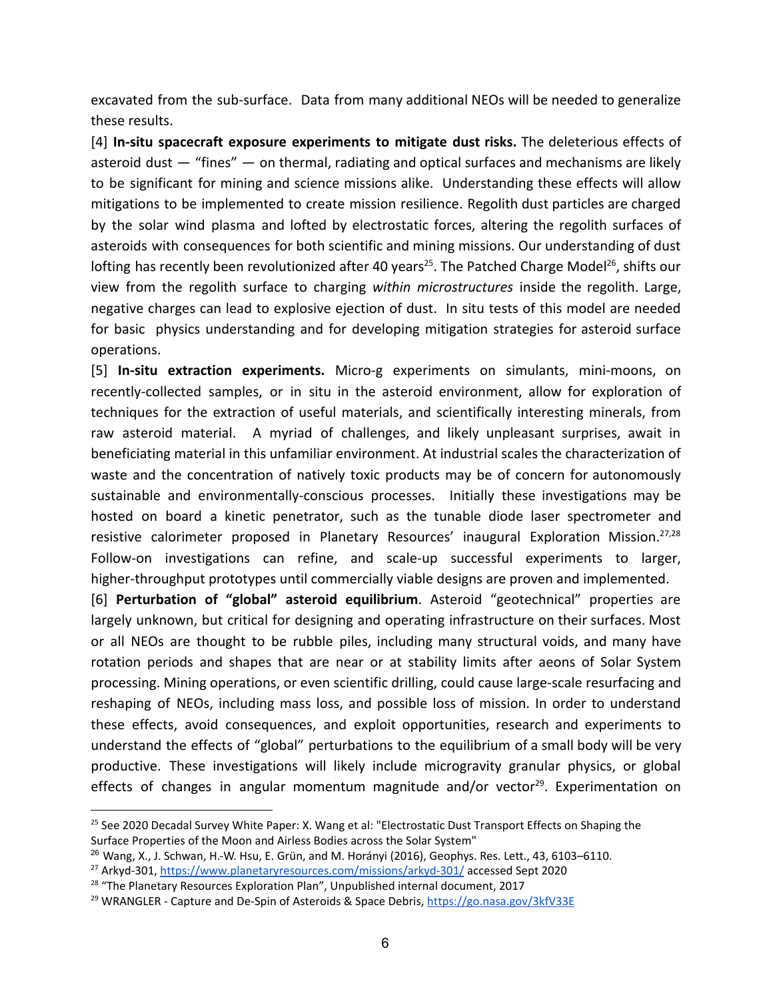excavated from the sub-surface. Data from many additional NEOs will be needed to generalize these results.

[4] **In-situ spacecraft exposure experiments to mitigate dust risks.** The deleterious effects of asteroid dust  $-$  "fines"  $-$  on thermal, radiating and optical surfaces and mechanisms are likely to be significant for mining and science missions alike. Understanding these effects will allow mitigations to be implemented to create mission resilience. Regolith dust particles are charged by the solar wind plasma and lofted by electrostatic forces, altering the regolith surfaces of asteroids with consequences for both scientific and mining missions. Our understanding of dust lofting has recently been revolutionized after 40 years<sup>25</sup>. The Patched Charge Model<sup>26</sup>, shifts our view from the regolith surface to charging *within microstructures* inside the regolith. Large, negative charges can lead to explosive ejection of dust. In situ tests of this model are needed for basic physics understanding and for developing mitigation strategies for asteroid surface operations.

[5] **In-situ extraction experiments.** Micro-g experiments on simulants, mini-moons, on recently-collected samples, or in situ in the asteroid environment, allow for exploration of techniques for the extraction of useful materials, and scientifically interesting minerals, from raw asteroid material. A myriad of challenges, and likely unpleasant surprises, await in beneficiating material in this unfamiliar environment. At industrial scales the characterization of waste and the concentration of natively toxic products may be of concern for autonomously sustainable and environmentally-conscious processes. Initially these investigations may be hosted on board a kinetic penetrator, such as the tunable diode laser spectrometer and resistive calorimeter proposed in Planetary Resources' inaugural Exploration Mission.<sup>27,28</sup> Follow-on investigations can refine, and scale-up successful experiments to larger, higher-throughput prototypes until commercially viable designs are proven and implemented.

[6] **Perturbation of "global" asteroid equilibrium**. Asteroid "geotechnical" properties are largely unknown, but critical for designing and operating infrastructure on their surfaces. Most or all NEOs are thought to be rubble piles, including many structural voids, and many have rotation periods and shapes that are near or at stability limits after aeons of Solar System processing. Mining operations, or even scientific drilling, could cause large-scale resurfacing and reshaping of NEOs, including mass loss, and possible loss of mission. In order to understand these effects, avoid consequences, and exploit opportunities, research and experiments to understand the effects of "global" perturbations to the equilibrium of a small body will be very productive. These investigations will likely include microgravity granular physics, or global effects of changes in angular momentum magnitude and/or vector<sup>29</sup>. Experimentation on

<sup>&</sup>lt;sup>25</sup> See 2020 Decadal Survey White Paper: X. Wang et al: "Electrostatic Dust Transport Effects on Shaping the Surface Properties of the Moon and Airless Bodies across the Solar System"

<sup>&</sup>lt;sup>26</sup> Wang, X., J. Schwan, H.-W. Hsu, E. Grün, and M. Horányi (2016), Geophys. Res. Lett., 43, 6103-6110.

<sup>27</sup> Arkyd-301, <https://www.planetaryresources.com/missions/arkyd-301/> accessed Sept 2020

<sup>&</sup>lt;sup>28</sup> "The Planetary Resources Exploration Plan", Unpublished internal document, 2017

<sup>&</sup>lt;sup>29</sup> WRANGLER - Capture and De-Spin of Asteroids & Space Debris, <https://go.nasa.gov/3kfV33E>